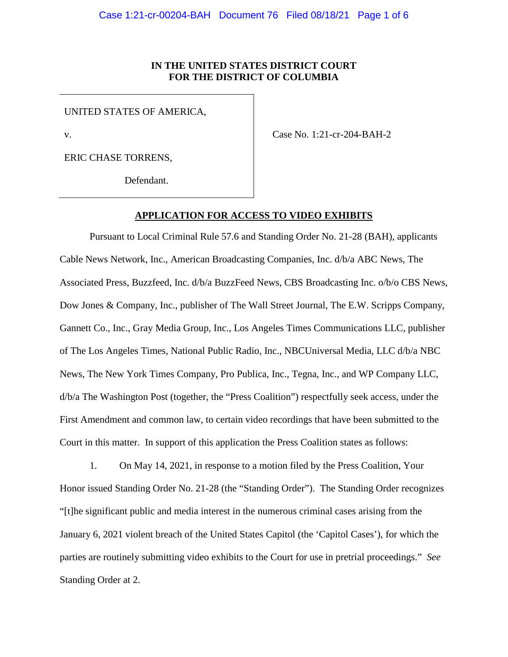### **IN THE UNITED STATES DISTRICT COURT FOR THE DISTRICT OF COLUMBIA**

UNITED STATES OF AMERICA,

v.

Case No. 1:21-cr-204-BAH-2

ERIC CHASE TORRENS,

Defendant.

### **APPLICATION FOR ACCESS TO VIDEO EXHIBITS**

Pursuant to Local Criminal Rule 57.6 and Standing Order No. 21-28 (BAH), applicants Cable News Network, Inc., American Broadcasting Companies, Inc. d/b/a ABC News, The Associated Press, Buzzfeed, Inc. d/b/a BuzzFeed News, CBS Broadcasting Inc. o/b/o CBS News, Dow Jones & Company, Inc., publisher of The Wall Street Journal, The E.W. Scripps Company, Gannett Co., Inc., Gray Media Group, Inc., Los Angeles Times Communications LLC, publisher of The Los Angeles Times, National Public Radio, Inc., NBCUniversal Media, LLC d/b/a NBC News, The New York Times Company, Pro Publica, Inc., Tegna, Inc., and WP Company LLC, d/b/a The Washington Post (together, the "Press Coalition") respectfully seek access, under the First Amendment and common law, to certain video recordings that have been submitted to the Court in this matter. In support of this application the Press Coalition states as follows:

1. On May 14, 2021, in response to a motion filed by the Press Coalition, Your Honor issued Standing Order No. 21-28 (the "Standing Order"). The Standing Order recognizes "[t]he significant public and media interest in the numerous criminal cases arising from the January 6, 2021 violent breach of the United States Capitol (the 'Capitol Cases'), for which the parties are routinely submitting video exhibits to the Court for use in pretrial proceedings." *See* Standing Order at 2.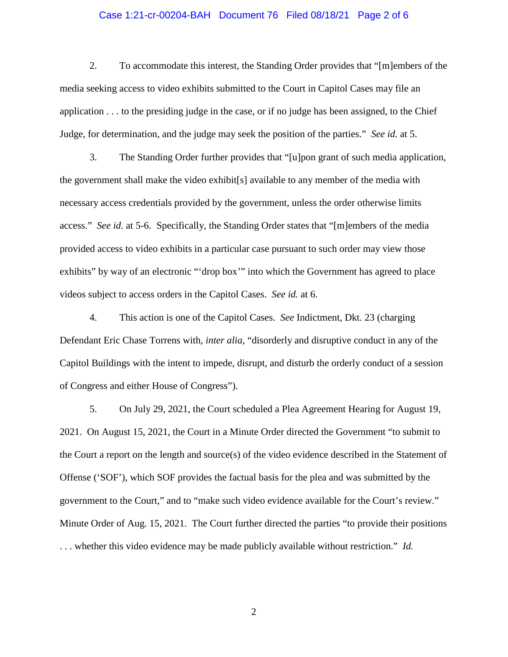#### Case 1:21-cr-00204-BAH Document 76 Filed 08/18/21 Page 2 of 6

2. To accommodate this interest, the Standing Order provides that "[m]embers of the media seeking access to video exhibits submitted to the Court in Capitol Cases may file an application . . . to the presiding judge in the case, or if no judge has been assigned, to the Chief Judge, for determination, and the judge may seek the position of the parties." *See id.* at 5.

3. The Standing Order further provides that "[u]pon grant of such media application, the government shall make the video exhibit[s] available to any member of the media with necessary access credentials provided by the government, unless the order otherwise limits access." *See id.* at 5-6. Specifically, the Standing Order states that "[m]embers of the media provided access to video exhibits in a particular case pursuant to such order may view those exhibits" by way of an electronic ""drop box"" into which the Government has agreed to place videos subject to access orders in the Capitol Cases. *See id.* at 6.

4. This action is one of the Capitol Cases. *See* Indictment, Dkt. 23 (charging Defendant Eric Chase Torrens with, *inter alia*, "disorderly and disruptive conduct in any of the Capitol Buildings with the intent to impede, disrupt, and disturb the orderly conduct of a session of Congress and either House of Congress").

5. On July 29, 2021, the Court scheduled a Plea Agreement Hearing for August 19, 2021. On August 15, 2021, the Court in a Minute Order directed the Government "to submit to the Court a report on the length and source(s) of the video evidence described in the Statement of Offense ('SOF'), which SOF provides the factual basis for the plea and was submitted by the government to the Court," and to "make such video evidence available for the Court's review." Minute Order of Aug. 15, 2021. The Court further directed the parties "to provide their positions . . . whether this video evidence may be made publicly available without restriction." *Id.*

2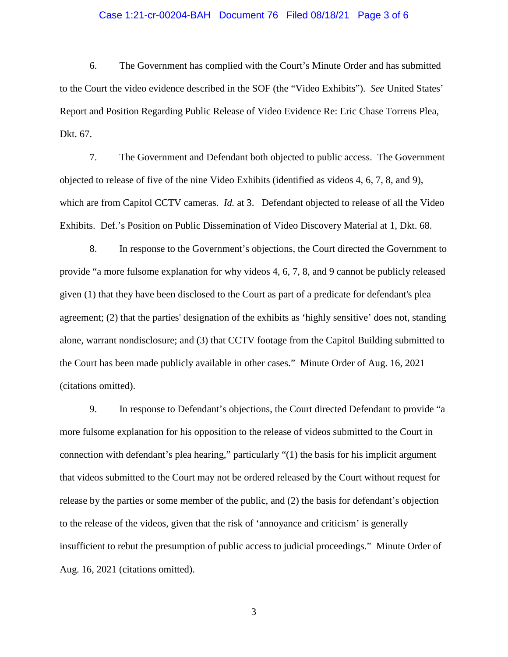#### Case 1:21-cr-00204-BAH Document 76 Filed 08/18/21 Page 3 of 6

6. The Government has complied with the Court's Minute Order and has submitted to the Court the video evidence described in the SOF (the "Video Exhibits"). *See* United States' Report and Position Regarding Public Release of Video Evidence Re: Eric Chase Torrens Plea, Dkt. 67.

7. The Government and Defendant both objected to public access. The Government objected to release of five of the nine Video Exhibits (identified as videos 4, 6, 7, 8, and 9), which are from Capitol CCTV cameras. *Id.* at 3. Defendant objected to release of all the Video Exhibits. Def.'s Position on Public Dissemination of Video Discovery Material at 1, Dkt. 68.

8. In response to the Government's objections, the Court directed the Government to provide "a more fulsome explanation for why videos 4, 6, 7, 8, and 9 cannot be publicly released given (1) that they have been disclosed to the Court as part of a predicate for defendant's plea agreement; (2) that the parties' designation of the exhibits as 'highly sensitive' does not, standing alone, warrant nondisclosure; and (3) that CCTV footage from the Capitol Building submitted to the Court has been made publicly available in other cases." Minute Order of Aug. 16, 2021 (citations omitted).

9. In response to Defendant's objections, the Court directed Defendant to provide "a more fulsome explanation for his opposition to the release of videos submitted to the Court in connection with defendant's plea hearing," particularly "(1) the basis for his implicit argument that videos submitted to the Court may not be ordered released by the Court without request for release by the parties or some member of the public, and (2) the basis for defendant's objection to the release of the videos, given that the risk of 'annoyance and criticism' is generally insufficient to rebut the presumption of public access to judicial proceedings." Minute Order of Aug. 16, 2021 (citations omitted).

3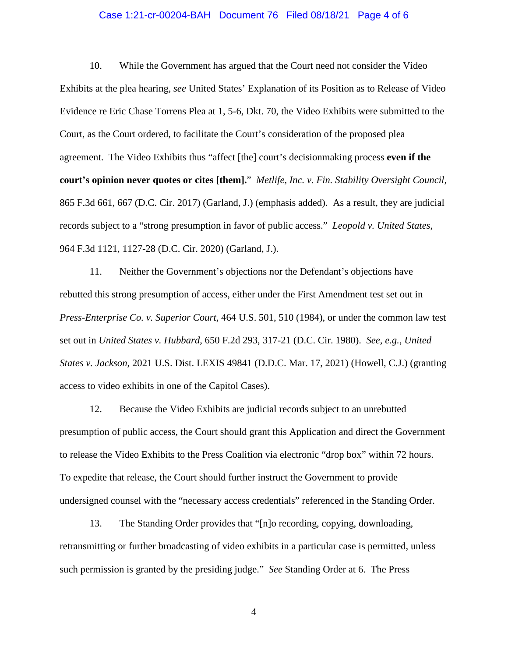#### Case 1:21-cr-00204-BAH Document 76 Filed 08/18/21 Page 4 of 6

10. While the Government has argued that the Court need not consider the Video Exhibits at the plea hearing, *see* United States' Explanation of its Position as to Release of Video Evidence re Eric Chase Torrens Plea at 1, 5-6, Dkt. 70, the Video Exhibits were submitted to the Court, as the Court ordered, to facilitate the Court's consideration of the proposed plea agreement. The Video Exhibits thus "affect [the] court's decisionmaking process **even if the court's opinion never quotes or cites [them].**" *Metlife, Inc. v. Fin. Stability Oversight Council*, 865 F.3d 661, 667 (D.C. Cir. 2017) (Garland, J.) (emphasis added). As a result, they are judicial records subject to a "strong presumption in favor of public access." *Leopold v. United States*, 964 F.3d 1121, 1127-28 (D.C. Cir. 2020) (Garland, J.).

11. Neither the Government's objections nor the Defendant's objections have rebutted this strong presumption of access, either under the First Amendment test set out in *Press-Enterprise Co. v. Superior Court*, 464 U.S. 501, 510 (1984), or under the common law test set out in *United States v. Hubbard*, 650 F.2d 293, 317-21 (D.C. Cir. 1980). *See, e.g.*, *United States v. Jackson*, 2021 U.S. Dist. LEXIS 49841 (D.D.C. Mar. 17, 2021) (Howell, C.J.) (granting access to video exhibits in one of the Capitol Cases).

12. Because the Video Exhibits are judicial records subject to an unrebutted presumption of public access, the Court should grant this Application and direct the Government to release the Video Exhibits to the Press Coalition via electronic "drop box" within 72 hours. To expedite that release, the Court should further instruct the Government to provide undersigned counsel with the "necessary access credentials" referenced in the Standing Order.

13. The Standing Order provides that "[n]o recording, copying, downloading, retransmitting or further broadcasting of video exhibits in a particular case is permitted, unless such permission is granted by the presiding judge." *See* Standing Order at 6. The Press

4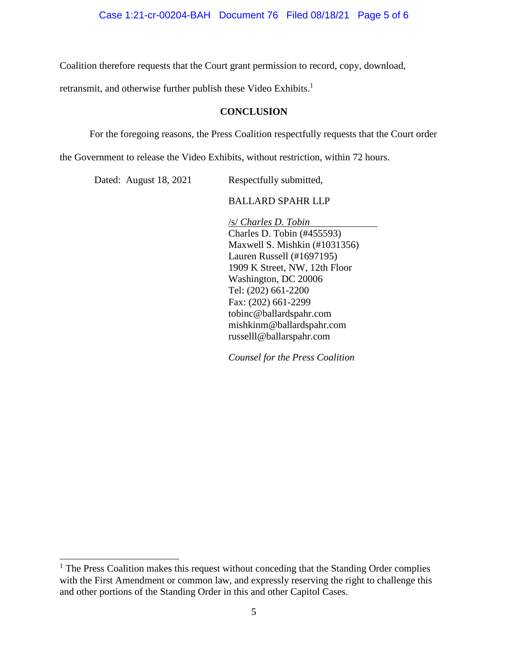Coalition therefore requests that the Court grant permission to record, copy, download,

retransmit, and otherwise further publish these Video Exhibits.<sup>1</sup>

## **CONCLUSION**

For the foregoing reasons, the Press Coalition respectfully requests that the Court order

the Government to release the Video Exhibits, without restriction, within 72 hours.

Dated: August 18, 2021 Respectfully submitted,

## BALLARD SPAHR LLP

/s/ *Charles D. Tobin* Charles D. Tobin (#455593) Maxwell S. Mishkin (#1031356) Lauren Russell (#1697195) 1909 K Street, NW, 12th Floor Washington, DC 20006 Tel: (202) 661-2200 Fax: (202) 661-2299 tobinc@ballardspahr.com mishkinm@ballardspahr.com russelll@ballarspahr.com

*Counsel for the Press Coalition* 

<sup>&</sup>lt;sup>1</sup> The Press Coalition makes this request without conceding that the Standing Order complies with the First Amendment or common law, and expressly reserving the right to challenge this and other portions of the Standing Order in this and other Capitol Cases.